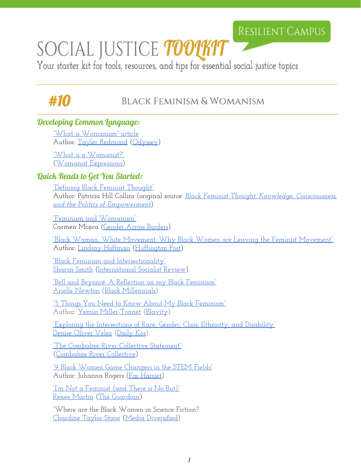## **RESILIENT CAMPUS**

# SOCIAL JUSTICE *toolkit*

Your starter kit for tools, resources, and tips for essential social justice topics

# #10

### Black Feminism & Womanism

#### Developing Common Language:

["What is Womanism"](https://www.theodysseyonline.com/what-is-womanism) article Author: [Tayler Redmond](https://www.theodysseyonline.com/@taylorredmond2) [\(Odyssey\)](https://www.theodysseyonline.com/)

["What is a Womanist?"](http://www.womanistexpressions.com/what-is-a-womanist.html) ([Womanist Expressions\)](http://www.womanistexpressions.com/)

#### Quick Reads to Get You Started:

["Defining Black Feminist Thought"](http://www.feministezine.com/feminist/modern/Defining-Black-Feminist-Thought.html) Author: Patricia Hill Collins (original source: *Black Feminist Thought: [Knowledge, Consciousness,](https://www.amazon.com/Black-Feminist-Thought-Consciousness-Empowerment/dp/0415964725) [and the Politics of Empowerment](https://www.amazon.com/Black-Feminist-Thought-Consciousness-Empowerment/dp/0415964725)*)

["Feminism and Womanism"](http://www.genderacrossborders.com/2011/03/29/feminism-and-womanism/) Carmen Mojica (Gender [Across Borders\)](http://www.genderacrossborders.com/)

["Black Woman, White](http://www.huffingtonpost.com/lindsay-hoffman/black-woman-white-movemen_b_8569540.html) Movement: Why Black Women are Leaving the Feminist Movement" Author: [Lindsay Hoffman](http://www.huffingtonpost.com/author/lindsayh-183) [\(Huffington](http://www.huffingtonpost.com/) Post)

["Black Feminism and](http://isreview.org/issue/91/black-feminism-and-intersectionality) Intersectionality" [Sharon Smith](http://isreview.org/person/sharon-smith) [\(International Socialist Review\)](http://isreview.org/issue/102)

["Bell and Beyoncé: A Reflection](https://blackmillennials.com/2016/05/11/bell-and-beyonce-a-reflection-on-my-black-feminism/) on my Black Feminism" [Arielle Newton](https://blackmillennials.com/author/blackmillennials/) (Black [Millennials\)](https://blackmillennials.com/)

<u>["5 Things You Need](http://preview.blavity.com/5-things-you-need-to-know-about-my-black-feminism/) to Know About My Black Feminism"</u> Author: [Yemisi Miller-Tonnet](https://www.linkedin.com/in/yemisi-miller-tonnet-32759794) ([Blavity\)](http://preview.blavity.com/)

"Exploring the Intersections of [Race, Gender, Class, Ethnicity, and](http://www.dailykos.com/story/2016/5/22/1527328/-Exploring-the-intersections-of-race-gender-class-ethnicity-and-disability) Disability" [Denise Oliver Velez](http://www.dailykos.com/user/Denise%20Oliver%20Velez) [\(Daily](http://www.dailykos.com/) Kos)

["The Combahee River](http://americanstudies.yale.edu/sites/default/files/files/Keyword%20Coalition_Readings.pdf) Collective Statement" ([Combahee River Collective\)](http://www.blackpast.org/aah/combahee-river-collective-1974-1980)

["9 Black Women Game](http://www.forharriet.com/2015/04/9-black-women-game-changers-in-stem.html#axzz4K3vgBj3p) Changers in the STEM Fields" Author: Juhanna Rogers (For [Harriet\)](http://www.forharriet.com/)

["I'm Not a Feminist \(and](https://www.theguardian.com/commentisfree/2010/apr/10/white-feminism-black-woman-womanism) There is No But)" [Renee Martin](https://www.theguardian.com/profile/renee-martin) [\(The Guardian\)](https://www.theguardian.com/us)

"Where are the Black Women in Science Fiction? [Chardine Taylor-Stone](https://mediadiversified.org/category/chardine-taylor-stone/) (Media [Diversified\)](https://mediadiversified.org/)